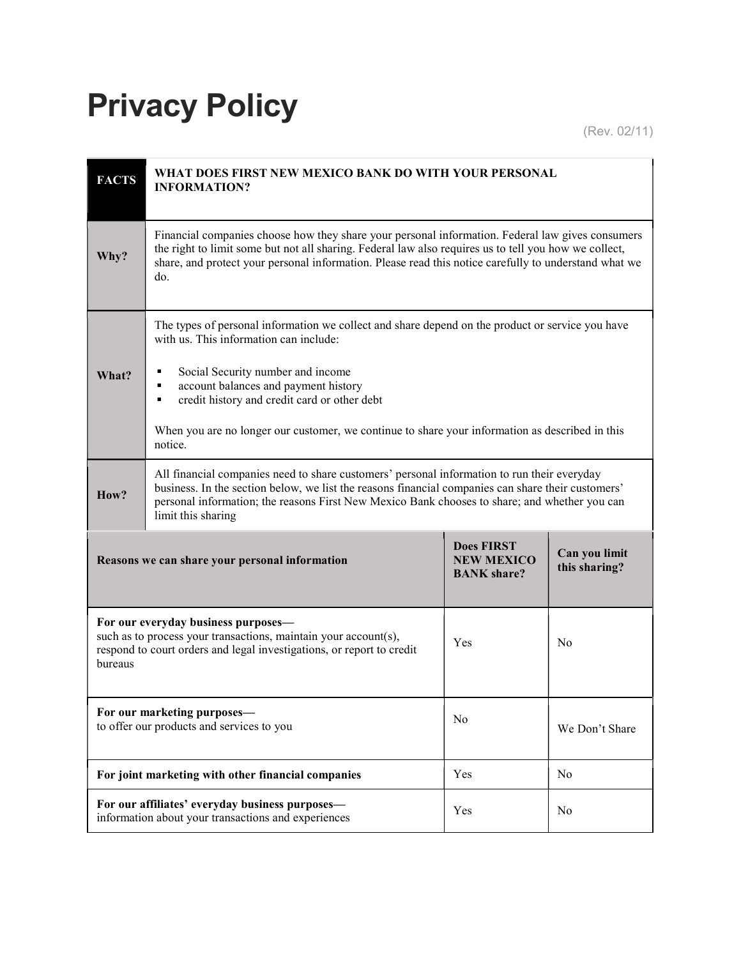## Privacy Policy

(Rev. 02/11)

| <b>FACTS</b>                                                                                                                                                                                      | WHAT DOES FIRST NEW MEXICO BANK DO WITH YOUR PERSONAL<br><b>INFORMATION?</b>                                                                                                                                                                                                                                                                                                                         |                                                              |                                |  |  |
|---------------------------------------------------------------------------------------------------------------------------------------------------------------------------------------------------|------------------------------------------------------------------------------------------------------------------------------------------------------------------------------------------------------------------------------------------------------------------------------------------------------------------------------------------------------------------------------------------------------|--------------------------------------------------------------|--------------------------------|--|--|
| Why?                                                                                                                                                                                              | Financial companies choose how they share your personal information. Federal law gives consumers<br>the right to limit some but not all sharing. Federal law also requires us to tell you how we collect,<br>share, and protect your personal information. Please read this notice carefully to understand what we<br>do.                                                                            |                                                              |                                |  |  |
| What?                                                                                                                                                                                             | The types of personal information we collect and share depend on the product or service you have<br>with us. This information can include:<br>Social Security number and income<br>٠<br>account balances and payment history<br>٠<br>credit history and credit card or other debt<br>٠<br>When you are no longer our customer, we continue to share your information as described in this<br>notice. |                                                              |                                |  |  |
| How?                                                                                                                                                                                              | All financial companies need to share customers' personal information to run their everyday<br>business. In the section below, we list the reasons financial companies can share their customers'<br>personal information; the reasons First New Mexico Bank chooses to share; and whether you can<br>limit this sharing                                                                             |                                                              |                                |  |  |
| Reasons we can share your personal information                                                                                                                                                    |                                                                                                                                                                                                                                                                                                                                                                                                      | <b>Does FIRST</b><br><b>NEW MEXICO</b><br><b>BANK</b> share? | Can you limit<br>this sharing? |  |  |
| For our everyday business purposes-<br>such as to process your transactions, maintain your account(s),<br>Yes<br>respond to court orders and legal investigations, or report to credit<br>bureaus |                                                                                                                                                                                                                                                                                                                                                                                                      |                                                              | N <sub>0</sub>                 |  |  |
| For our marketing purposes-<br>to offer our products and services to you                                                                                                                          |                                                                                                                                                                                                                                                                                                                                                                                                      | N <sub>0</sub>                                               | We Don't Share                 |  |  |
| For joint marketing with other financial companies                                                                                                                                                |                                                                                                                                                                                                                                                                                                                                                                                                      | Yes                                                          | N <sub>0</sub>                 |  |  |
| For our affiliates' everyday business purposes-<br>information about your transactions and experiences                                                                                            |                                                                                                                                                                                                                                                                                                                                                                                                      | Yes                                                          | No                             |  |  |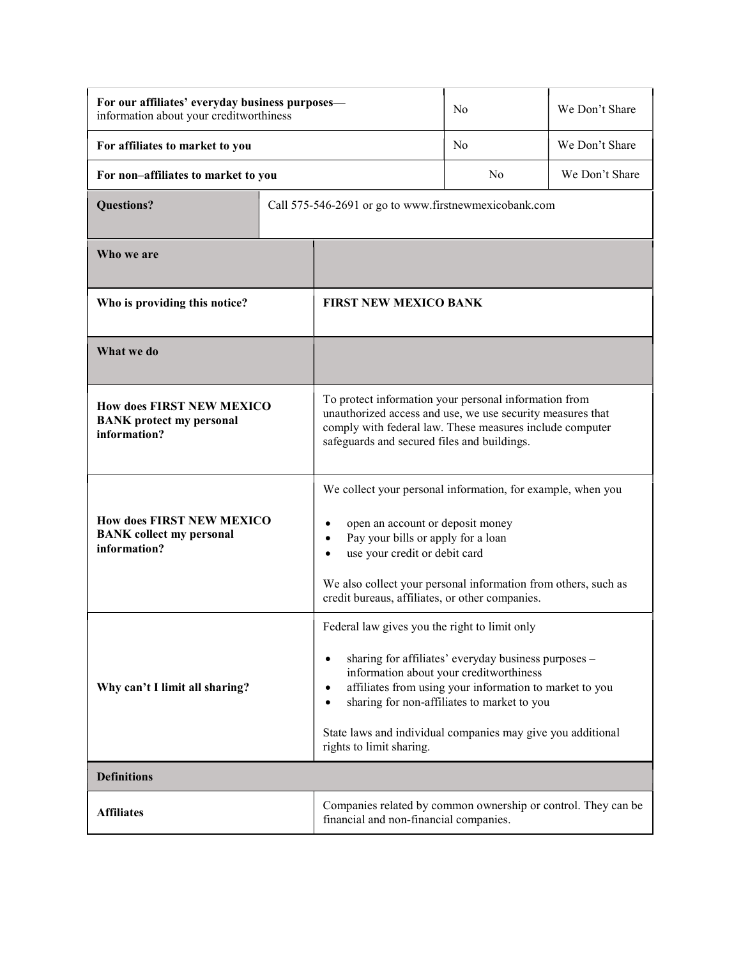| For our affiliates' everyday business purposes-<br>information about your creditworthiness |  |                                                                                                                                                                                                                                                                                                                                                            | N <sub>o</sub> | We Don't Share |
|--------------------------------------------------------------------------------------------|--|------------------------------------------------------------------------------------------------------------------------------------------------------------------------------------------------------------------------------------------------------------------------------------------------------------------------------------------------------------|----------------|----------------|
| For affiliates to market to you                                                            |  |                                                                                                                                                                                                                                                                                                                                                            | No             | We Don't Share |
| For non-affiliates to market to you                                                        |  |                                                                                                                                                                                                                                                                                                                                                            | No             | We Don't Share |
| <b>Questions?</b>                                                                          |  | Call 575-546-2691 or go to www.firstnewmexicobank.com                                                                                                                                                                                                                                                                                                      |                |                |
| Who we are                                                                                 |  |                                                                                                                                                                                                                                                                                                                                                            |                |                |
| Who is providing this notice?                                                              |  | <b>FIRST NEW MEXICO BANK</b>                                                                                                                                                                                                                                                                                                                               |                |                |
| What we do                                                                                 |  |                                                                                                                                                                                                                                                                                                                                                            |                |                |
| <b>How does FIRST NEW MEXICO</b><br><b>BANK</b> protect my personal<br>information?        |  | To protect information your personal information from<br>unauthorized access and use, we use security measures that<br>comply with federal law. These measures include computer<br>safeguards and secured files and buildings.                                                                                                                             |                |                |
| <b>How does FIRST NEW MEXICO</b><br><b>BANK</b> collect my personal<br>information?        |  | We collect your personal information, for example, when you<br>open an account or deposit money<br>Pay your bills or apply for a loan<br>use your credit or debit card<br>We also collect your personal information from others, such as<br>credit bureaus, affiliates, or other companies.                                                                |                |                |
| Why can't I limit all sharing?                                                             |  | Federal law gives you the right to limit only<br>sharing for affiliates' everyday business purposes -<br>information about your creditworthiness<br>affiliates from using your information to market to you<br>٠<br>sharing for non-affiliates to market to you<br>State laws and individual companies may give you additional<br>rights to limit sharing. |                |                |
| <b>Definitions</b>                                                                         |  |                                                                                                                                                                                                                                                                                                                                                            |                |                |
| <b>Affiliates</b>                                                                          |  | Companies related by common ownership or control. They can be<br>financial and non-financial companies.                                                                                                                                                                                                                                                    |                |                |